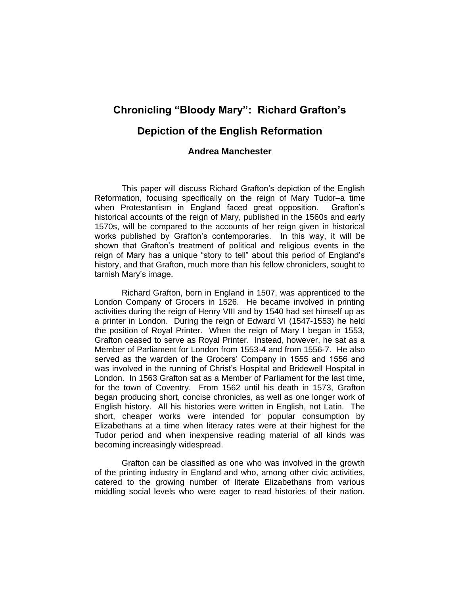# **Chronicling "Bloody Mary": Richard Grafton's**

## **Depiction of the English Reformation**

### **Andrea Manchester**

This paper will discuss Richard Grafton's depiction of the English Reformation, focusing specifically on the reign of Mary Tudor–a time when Protestantism in England faced great opposition. Grafton's historical accounts of the reign of Mary, published in the 1560s and early 1570s, will be compared to the accounts of her reign given in historical works published by Grafton's contemporaries. In this way, it will be shown that Grafton's treatment of political and religious events in the reign of Mary has a unique "story to tell" about this period of England's history, and that Grafton, much more than his fellow chroniclers, sought to tarnish Mary's image.

Richard Grafton, born in England in 1507, was apprenticed to the London Company of Grocers in 1526. He became involved in printing activities during the reign of Henry VIII and by 1540 had set himself up as a printer in London. During the reign of Edward VI (1547-1553) he held the position of Royal Printer. When the reign of Mary I began in 1553, Grafton ceased to serve as Royal Printer. Instead, however, he sat as a Member of Parliament for London from 1553-4 and from 1556-7. He also served as the warden of the Grocers' Company in 1555 and 1556 and was involved in the running of Christ's Hospital and Bridewell Hospital in London. In 1563 Grafton sat as a Member of Parliament for the last time, for the town of Coventry. From 1562 until his death in 1573, Grafton began producing short, concise chronicles, as well as one longer work of English history. All his histories were written in English, not Latin. The short, cheaper works were intended for popular consumption by Elizabethans at a time when literacy rates were at their highest for the Tudor period and when inexpensive reading material of all kinds was becoming increasingly widespread.

Grafton can be classified as one who was involved in the growth of the printing industry in England and who, among other civic activities, catered to the growing number of literate Elizabethans from various middling social levels who were eager to read histories of their nation.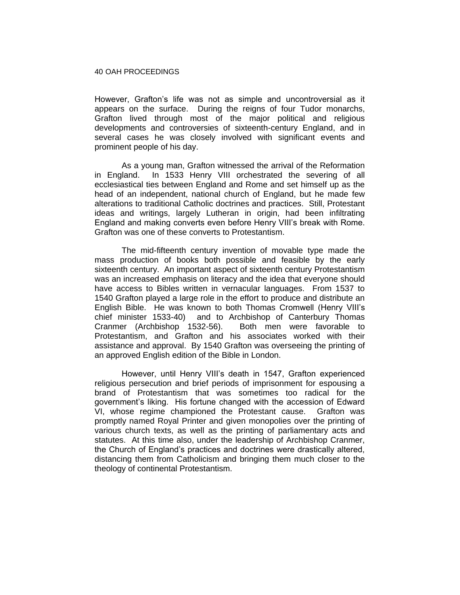However, Grafton's life was not as simple and uncontroversial as it appears on the surface. During the reigns of four Tudor monarchs, Grafton lived through most of the major political and religious developments and controversies of sixteenth-century England, and in several cases he was closely involved with significant events and prominent people of his day.

As a young man, Grafton witnessed the arrival of the Reformation in England. In 1533 Henry VIII orchestrated the severing of all ecclesiastical ties between England and Rome and set himself up as the head of an independent, national church of England, but he made few alterations to traditional Catholic doctrines and practices. Still, Protestant ideas and writings, largely Lutheran in origin, had been infiltrating England and making converts even before Henry VIII's break with Rome. Grafton was one of these converts to Protestantism.

The mid-fifteenth century invention of movable type made the mass production of books both possible and feasible by the early sixteenth century. An important aspect of sixteenth century Protestantism was an increased emphasis on literacy and the idea that everyone should have access to Bibles written in vernacular languages. From 1537 to 1540 Grafton played a large role in the effort to produce and distribute an English Bible. He was known to both Thomas Cromwell (Henry VIII's chief minister 1533-40) and to Archbishop of Canterbury Thomas Cranmer (Archbishop 1532-56). Both men were favorable to Protestantism, and Grafton and his associates worked with their assistance and approval. By 1540 Grafton was overseeing the printing of an approved English edition of the Bible in London.

However, until Henry VIII's death in 1547, Grafton experienced religious persecution and brief periods of imprisonment for espousing a brand of Protestantism that was sometimes too radical for the government's liking. His fortune changed with the accession of Edward VI, whose regime championed the Protestant cause. Grafton was promptly named Royal Printer and given monopolies over the printing of various church texts, as well as the printing of parliamentary acts and statutes. At this time also, under the leadership of Archbishop Cranmer, the Church of England's practices and doctrines were drastically altered, distancing them from Catholicism and bringing them much closer to the theology of continental Protestantism.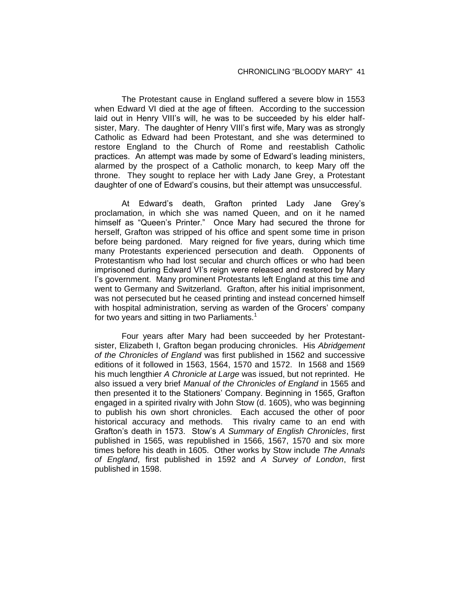The Protestant cause in England suffered a severe blow in 1553 when Edward VI died at the age of fifteen. According to the succession laid out in Henry VIII's will, he was to be succeeded by his elder halfsister, Mary. The daughter of Henry VIII's first wife, Mary was as strongly Catholic as Edward had been Protestant, and she was determined to restore England to the Church of Rome and reestablish Catholic practices. An attempt was made by some of Edward's leading ministers, alarmed by the prospect of a Catholic monarch, to keep Mary off the throne. They sought to replace her with Lady Jane Grey, a Protestant daughter of one of Edward's cousins, but their attempt was unsuccessful.

At Edward's death, Grafton printed Lady Jane Grey's proclamation, in which she was named Queen, and on it he named himself as "Queen's Printer." Once Mary had secured the throne for herself, Grafton was stripped of his office and spent some time in prison before being pardoned. Mary reigned for five years, during which time many Protestants experienced persecution and death. Opponents of Protestantism who had lost secular and church offices or who had been imprisoned during Edward VI's reign were released and restored by Mary I's government. Many prominent Protestants left England at this time and went to Germany and Switzerland. Grafton, after his initial imprisonment, was not persecuted but he ceased printing and instead concerned himself with hospital administration, serving as warden of the Grocers' company for two years and sitting in two Parliaments.<sup>1</sup>

Four years after Mary had been succeeded by her Protestantsister, Elizabeth I, Grafton began producing chronicles. His *Abridgement of the Chronicles of England* was first published in 1562 and successive editions of it followed in 1563, 1564, 1570 and 1572. In 1568 and 1569 his much lengthier *A Chronicle at Large* was issued, but not reprinted. He also issued a very brief *Manual of the Chronicles of England* in 1565 and then presented it to the Stationers' Company. Beginning in 1565, Grafton engaged in a spirited rivalry with John Stow (d. 1605), who was beginning to publish his own short chronicles. Each accused the other of poor historical accuracy and methods. This rivalry came to an end with Grafton's death in 1573. Stow's *A Summary of English Chronicles*, first published in 1565, was republished in 1566, 1567, 1570 and six more times before his death in 1605. Other works by Stow include *The Annals of England*, first published in 1592 and *A Survey of London*, first published in 1598.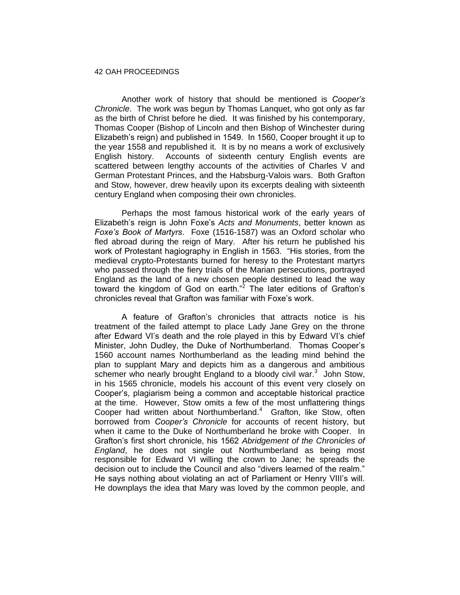Another work of history that should be mentioned is *Cooper's Chronicle*. The work was begun by Thomas Lanquet, who got only as far as the birth of Christ before he died. It was finished by his contemporary, Thomas Cooper (Bishop of Lincoln and then Bishop of Winchester during Elizabeth's reign) and published in 1549. In 1560, Cooper brought it up to the year 1558 and republished it. It is by no means a work of exclusively English history. Accounts of sixteenth century English events are scattered between lengthy accounts of the activities of Charles V and German Protestant Princes, and the Habsburg-Valois wars. Both Grafton and Stow, however, drew heavily upon its excerpts dealing with sixteenth century England when composing their own chronicles.

Perhaps the most famous historical work of the early years of Elizabeth's reign is John Foxe's *Acts and Monuments*, better known as *Foxe's Book of Martyrs*. Foxe (1516-1587) was an Oxford scholar who fled abroad during the reign of Mary. After his return he published his work of Protestant hagiography in English in 1563. "His stories, from the medieval crypto-Protestants burned for heresy to the Protestant martyrs who passed through the fiery trials of the Marian persecutions, portrayed England as the land of a new chosen people destined to lead the way toward the kingdom of God on earth."<sup>2</sup> The later editions of Grafton's chronicles reveal that Grafton was familiar with Foxe's work.

A feature of Grafton's chronicles that attracts notice is his treatment of the failed attempt to place Lady Jane Grey on the throne after Edward VI's death and the role played in this by Edward VI's chief Minister, John Dudley, the Duke of Northumberland. Thomas Cooper's 1560 account names Northumberland as the leading mind behind the plan to supplant Mary and depicts him as a dangerous and ambitious schemer who nearly brought England to a bloody civil war. $3$  John Stow, in his 1565 chronicle, models his account of this event very closely on Cooper's, plagiarism being a common and acceptable historical practice at the time. However, Stow omits a few of the most unflattering things Cooper had written about Northumberland.<sup>4</sup> Grafton, like Stow, often borrowed from *Cooper's Chronicle* for accounts of recent history, but when it came to the Duke of Northumberland he broke with Cooper. In Grafton's first short chronicle, his 1562 *Abridgement of the Chronicles of England*, he does not single out Northumberland as being most responsible for Edward VI willing the crown to Jane; he spreads the decision out to include the Council and also "divers learned of the realm." He says nothing about violating an act of Parliament or Henry VIII's will. He downplays the idea that Mary was loved by the common people, and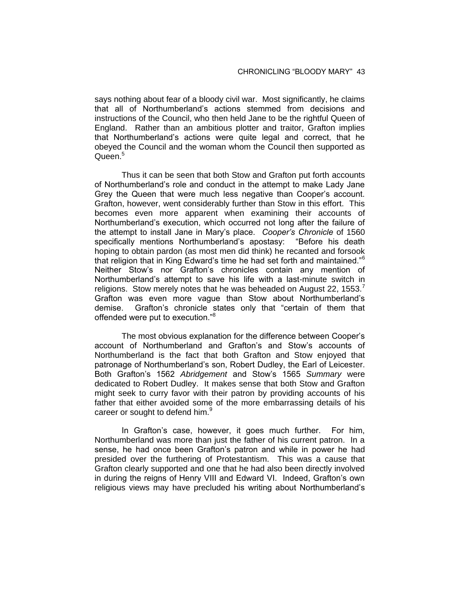says nothing about fear of a bloody civil war. Most significantly, he claims that all of Northumberland's actions stemmed from decisions and instructions of the Council, who then held Jane to be the rightful Queen of England. Rather than an ambitious plotter and traitor, Grafton implies that Northumberland's actions were quite legal and correct, that he obeyed the Council and the woman whom the Council then supported as Queen.<sup>5</sup>

Thus it can be seen that both Stow and Grafton put forth accounts of Northumberland's role and conduct in the attempt to make Lady Jane Grey the Queen that were much less negative than Cooper's account. Grafton, however, went considerably further than Stow in this effort. This becomes even more apparent when examining their accounts of Northumberland's execution, which occurred not long after the failure of the attempt to install Jane in Mary's place. *Cooper's Chronicle* of 1560 specifically mentions Northumberland's apostasy: "Before his death hoping to obtain pardon (as most men did think) he recanted and forsook that religion that in King Edward's time he had set forth and maintained."<sup>6</sup> Neither Stow's nor Grafton's chronicles contain any mention of Northumberland's attempt to save his life with a last-minute switch in religions. Stow merely notes that he was beheaded on August 22, 1553.<sup>7</sup> Grafton was even more vague than Stow about Northumberland's demise. Grafton's chronicle states only that "certain of them that offended were put to execution."<sup>8</sup>

The most obvious explanation for the difference between Cooper's account of Northumberland and Grafton's and Stow's accounts of Northumberland is the fact that both Grafton and Stow enjoyed that patronage of Northumberland's son, Robert Dudley, the Earl of Leicester. Both Grafton's 1562 *Abridgement* and Stow's 1565 *Summary* were dedicated to Robert Dudley. It makes sense that both Stow and Grafton might seek to curry favor with their patron by providing accounts of his father that either avoided some of the more embarrassing details of his career or sought to defend him.<sup>9</sup>

In Grafton's case, however, it goes much further. For him, Northumberland was more than just the father of his current patron. In a sense, he had once been Grafton's patron and while in power he had presided over the furthering of Protestantism. This was a cause that Grafton clearly supported and one that he had also been directly involved in during the reigns of Henry VIII and Edward VI. Indeed, Grafton's own religious views may have precluded his writing about Northumberland's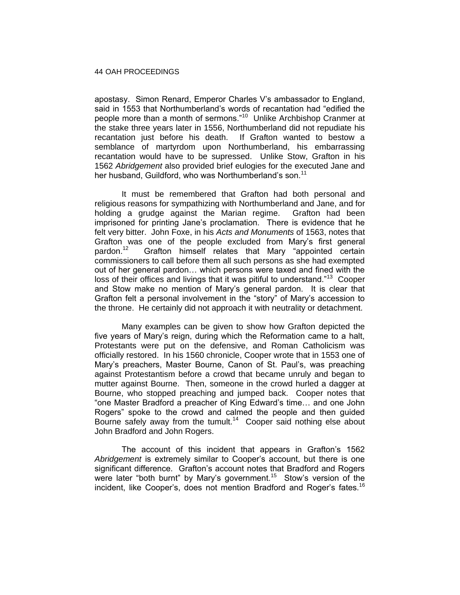apostasy. Simon Renard, Emperor Charles V's ambassador to England, said in 1553 that Northumberland's words of recantation had "edified the people more than a month of sermons."<sup>10</sup> Unlike Archbishop Cranmer at the stake three years later in 1556, Northumberland did not repudiate his recantation just before his death. If Grafton wanted to bestow a semblance of martyrdom upon Northumberland, his embarrassing recantation would have to be supressed. Unlike Stow, Grafton in his 1562 *Abridgement* also provided brief eulogies for the executed Jane and her husband, Guildford, who was Northumberland's son.<sup>11</sup>

It must be remembered that Grafton had both personal and religious reasons for sympathizing with Northumberland and Jane, and for holding a grudge against the Marian regime. Grafton had been imprisoned for printing Jane's proclamation. There is evidence that he felt very bitter. John Foxe, in his *Acts and Monuments* of 1563, notes that Grafton was one of the people excluded from Mary's first general pardon.<sup>12</sup> Grafton himself relates that Mary "appointed certain commissioners to call before them all such persons as she had exempted out of her general pardon… which persons were taxed and fined with the loss of their offices and livings that it was pitiful to understand."<sup>13</sup> Cooper and Stow make no mention of Mary's general pardon. It is clear that Grafton felt a personal involvement in the "story" of Mary's accession to the throne. He certainly did not approach it with neutrality or detachment.

Many examples can be given to show how Grafton depicted the five years of Mary's reign, during which the Reformation came to a halt, Protestants were put on the defensive, and Roman Catholicism was officially restored. In his 1560 chronicle, Cooper wrote that in 1553 one of Mary's preachers, Master Bourne, Canon of St. Paul's, was preaching against Protestantism before a crowd that became unruly and began to mutter against Bourne. Then, someone in the crowd hurled a dagger at Bourne, who stopped preaching and jumped back. Cooper notes that "one Master Bradford a preacher of King Edward's time… and one John Rogers" spoke to the crowd and calmed the people and then guided Bourne safely away from the tumult.<sup>14</sup> Cooper said nothing else about John Bradford and John Rogers.

The account of this incident that appears in Grafton's 1562 *Abridgement* is extremely similar to Cooper's account, but there is one significant difference. Grafton's account notes that Bradford and Rogers were later "both burnt" by Mary's government.<sup>15</sup> Stow's version of the incident, like Cooper's, does not mention Bradford and Roger's fates.<sup>16</sup>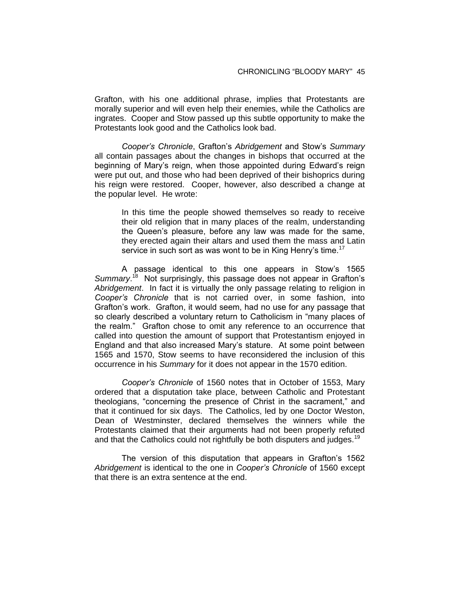Grafton, with his one additional phrase, implies that Protestants are morally superior and will even help their enemies, while the Catholics are ingrates. Cooper and Stow passed up this subtle opportunity to make the Protestants look good and the Catholics look bad.

*Cooper's Chronicle*, Grafton's *Abridgement* and Stow's *Summary* all contain passages about the changes in bishops that occurred at the beginning of Mary's reign, when those appointed during Edward's reign were put out, and those who had been deprived of their bishoprics during his reign were restored. Cooper, however, also described a change at the popular level. He wrote:

In this time the people showed themselves so ready to receive their old religion that in many places of the realm, understanding the Queen's pleasure, before any law was made for the same, they erected again their altars and used them the mass and Latin service in such sort as was wont to be in King Henry's time.<sup>17</sup>

A passage identical to this one appears in Stow's 1565 Summary.<sup>18</sup> Not surprisingly, this passage does not appear in Grafton's *Abridgement*. In fact it is virtually the only passage relating to religion in *Cooper's Chronicle* that is not carried over, in some fashion, into Grafton's work. Grafton, it would seem, had no use for any passage that so clearly described a voluntary return to Catholicism in "many places of the realm." Grafton chose to omit any reference to an occurrence that called into question the amount of support that Protestantism enjoyed in England and that also increased Mary's stature. At some point between 1565 and 1570, Stow seems to have reconsidered the inclusion of this occurrence in his *Summary* for it does not appear in the 1570 edition.

*Cooper's Chronicle* of 1560 notes that in October of 1553, Mary ordered that a disputation take place, between Catholic and Protestant theologians, "concerning the presence of Christ in the sacrament," and that it continued for six days. The Catholics, led by one Doctor Weston, Dean of Westminster, declared themselves the winners while the Protestants claimed that their arguments had not been properly refuted and that the Catholics could not rightfully be both disputers and judges.<sup>19</sup>

The version of this disputation that appears in Grafton's 1562 *Abridgement* is identical to the one in *Cooper's Chronicle* of 1560 except that there is an extra sentence at the end.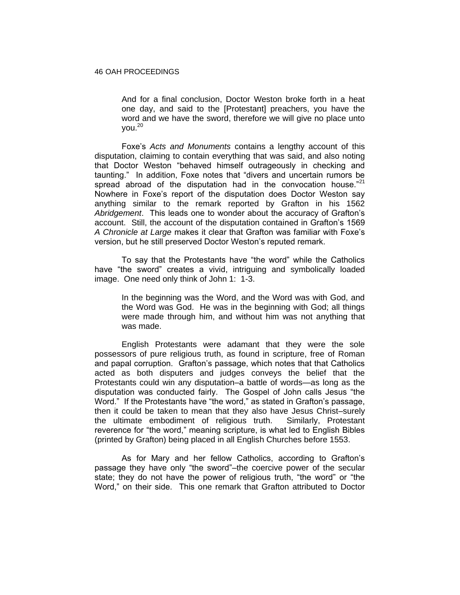And for a final conclusion, Doctor Weston broke forth in a heat one day, and said to the [Protestant] preachers, you have the word and we have the sword, therefore we will give no place unto  $you.<sup>20</sup>$ 

Foxe's *Acts and Monuments* contains a lengthy account of this disputation, claiming to contain everything that was said, and also noting that Doctor Weston "behaved himself outrageously in checking and taunting." In addition, Foxe notes that "divers and uncertain rumors be spread abroad of the disputation had in the convocation house. $21$ Nowhere in Foxe's report of the disputation does Doctor Weston say anything similar to the remark reported by Grafton in his 1562 *Abridgement*. This leads one to wonder about the accuracy of Grafton's account. Still, the account of the disputation contained in Grafton's 1569 *A Chronicle at Large* makes it clear that Grafton was familiar with Foxe's version, but he still preserved Doctor Weston's reputed remark.

To say that the Protestants have "the word" while the Catholics have "the sword" creates a vivid, intriguing and symbolically loaded image. One need only think of John 1: 1-3.

In the beginning was the Word, and the Word was with God, and the Word was God. He was in the beginning with God; all things were made through him, and without him was not anything that was made.

English Protestants were adamant that they were the sole possessors of pure religious truth, as found in scripture, free of Roman and papal corruption. Grafton's passage, which notes that that Catholics acted as both disputers and judges conveys the belief that the Protestants could win any disputation–a battle of words—as long as the disputation was conducted fairly. The Gospel of John calls Jesus "the Word." If the Protestants have "the word," as stated in Grafton's passage, then it could be taken to mean that they also have Jesus Christ–surely the ultimate embodiment of religious truth. Similarly, Protestant reverence for "the word," meaning scripture, is what led to English Bibles (printed by Grafton) being placed in all English Churches before 1553.

As for Mary and her fellow Catholics, according to Grafton's passage they have only "the sword"–the coercive power of the secular state; they do not have the power of religious truth, "the word" or "the Word," on their side. This one remark that Grafton attributed to Doctor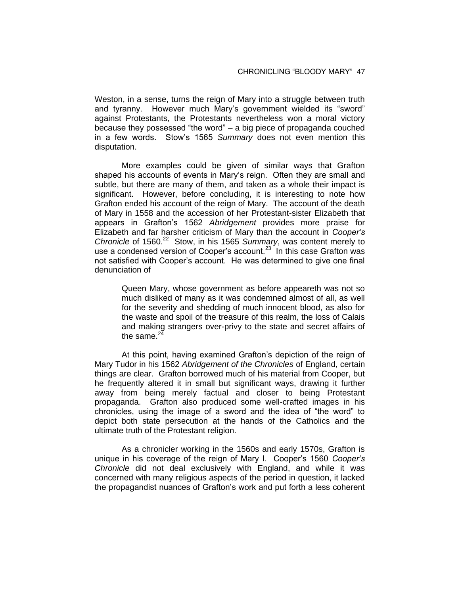Weston, in a sense, turns the reign of Mary into a struggle between truth and tyranny. However much Mary's government wielded its "sword" against Protestants, the Protestants nevertheless won a moral victory because they possessed "the word" – a big piece of propaganda couched in a few words. Stow's 1565 *Summary* does not even mention this disputation.

More examples could be given of similar ways that Grafton shaped his accounts of events in Mary's reign. Often they are small and subtle, but there are many of them, and taken as a whole their impact is significant. However, before concluding, it is interesting to note how Grafton ended his account of the reign of Mary. The account of the death of Mary in 1558 and the accession of her Protestant-sister Elizabeth that appears in Grafton's 1562 *Abridgement* provides more praise for Elizabeth and far harsher criticism of Mary than the account in *Cooper's*  Chronicle of 1560.<sup>22</sup> Stow, in his 1565 Summary, was content merely to use a condensed version of Cooper's account.<sup>23</sup> In this case Grafton was not satisfied with Cooper's account. He was determined to give one final denunciation of

Queen Mary, whose government as before appeareth was not so much disliked of many as it was condemned almost of all, as well for the severity and shedding of much innocent blood, as also for the waste and spoil of the treasure of this realm, the loss of Calais and making strangers over-privy to the state and secret affairs of the same. $24$ 

At this point, having examined Grafton's depiction of the reign of Mary Tudor in his 1562 *Abridgement of the Chronicles* of England, certain things are clear. Grafton borrowed much of his material from Cooper, but he frequently altered it in small but significant ways, drawing it further away from being merely factual and closer to being Protestant propaganda. Grafton also produced some well-crafted images in his chronicles, using the image of a sword and the idea of "the word" to depict both state persecution at the hands of the Catholics and the ultimate truth of the Protestant religion.

As a chronicler working in the 1560s and early 1570s, Grafton is unique in his coverage of the reign of Mary I. Cooper's 1560 *Cooper's Chronicle* did not deal exclusively with England, and while it was concerned with many religious aspects of the period in question, it lacked the propagandist nuances of Grafton's work and put forth a less coherent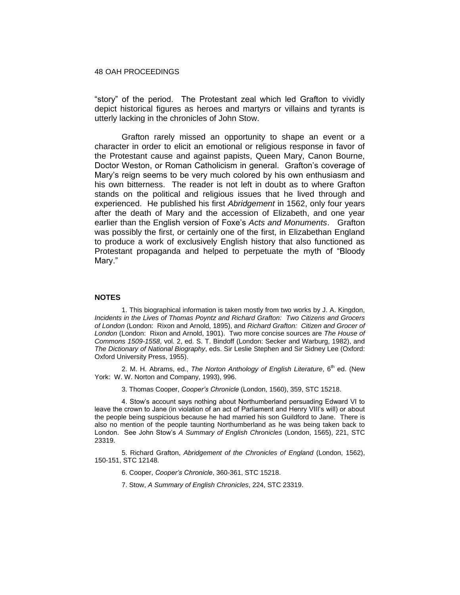"story" of the period. The Protestant zeal which led Grafton to vividly depict historical figures as heroes and martyrs or villains and tyrants is utterly lacking in the chronicles of John Stow.

Grafton rarely missed an opportunity to shape an event or a character in order to elicit an emotional or religious response in favor of the Protestant cause and against papists, Queen Mary, Canon Bourne, Doctor Weston, or Roman Catholicism in general. Grafton's coverage of Mary's reign seems to be very much colored by his own enthusiasm and his own bitterness. The reader is not left in doubt as to where Grafton stands on the political and religious issues that he lived through and experienced. He published his first *Abridgement* in 1562, only four years after the death of Mary and the accession of Elizabeth, and one year earlier than the English version of Foxe's *Acts and Monuments*. Grafton was possibly the first, or certainly one of the first, in Elizabethan England to produce a work of exclusively English history that also functioned as Protestant propaganda and helped to perpetuate the myth of "Bloody Mary."

#### **NOTES**

1. This biographical information is taken mostly from two works by J. A. Kingdon, *Incidents in the Lives of Thomas Poyntz and Richard Grafton: Two Citizens and Grocers of London* (London: Rixon and Arnold, 1895), and *Richard Grafton: Citizen and Grocer of London* (London: Rixon and Arnold, 1901). Two more concise sources are *The House of Commons 1509-1558*, vol. 2, ed. S. T. Bindoff (London: Secker and Warburg, 1982), and *The Dictionary of National Biography*, eds. Sir Leslie Stephen and Sir Sidney Lee (Oxford: Oxford University Press, 1955).

2. M. H. Abrams, ed., *The Norton Anthology of English Literature*, 6<sup>th</sup> ed. (New York: W. W. Norton and Company, 1993), 996.

3. Thomas Cooper, *Cooper's Chronicle* (London, 1560), 359, STC 15218.

4. Stow's account says nothing about Northumberland persuading Edward VI to leave the crown to Jane (in violation of an act of Parliament and Henry VIII's will) or about the people being suspicious because he had married his son Guildford to Jane. There is also no mention of the people taunting Northumberland as he was being taken back to London. See John Stow's *A Summary of English Chronicles* (London, 1565), 221, STC 23319.

5. Richard Grafton, *Abridgement of the Chronicles of England* (London, 1562), 150-151, STC 12148.

6. Cooper, *Cooper's Chronicle*, 360-361, STC 15218.

7. Stow, *A Summary of English Chronicles*, 224, STC 23319.